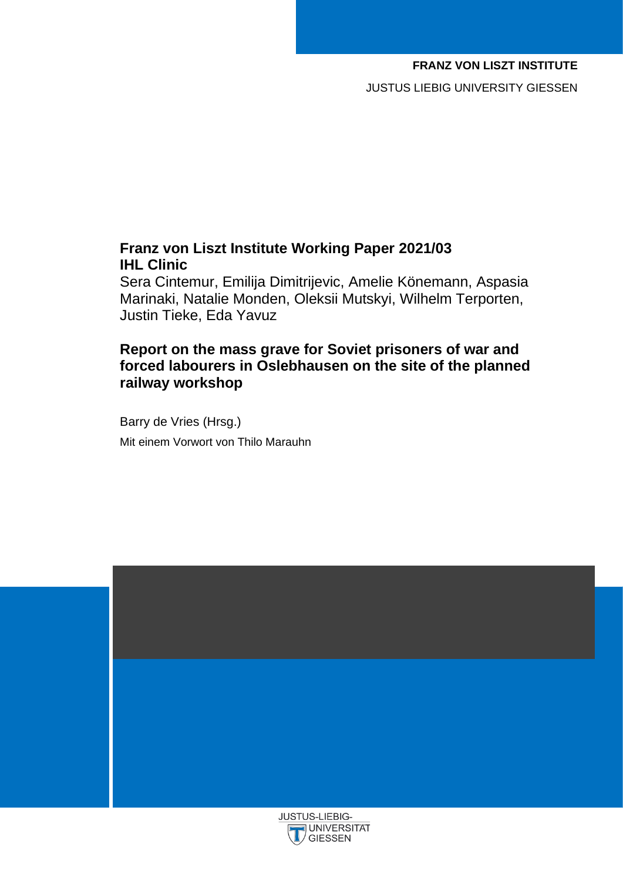### **FRANZ VON LISZT INSTITUTE**

JUSTUS LIEBIG UNIVERSITY GIESSEN

### **Franz von Liszt Institute Working Paper 2021/03 IHL Clinic**

Sera Cintemur, Emilija Dimitrijevic, Amelie Könemann, Aspasia Marinaki, Natalie Monden, Oleksii Mutskyi, Wilhelm Terporten, Justin Tieke, Eda Yavuz

### **Report on the mass grave for Soviet prisoners of war and forced labourers in Oslebhausen on the site of the planned railway workshop**

Barry de Vries (Hrsg.) Mit einem Vorwort von Thilo Marauhn

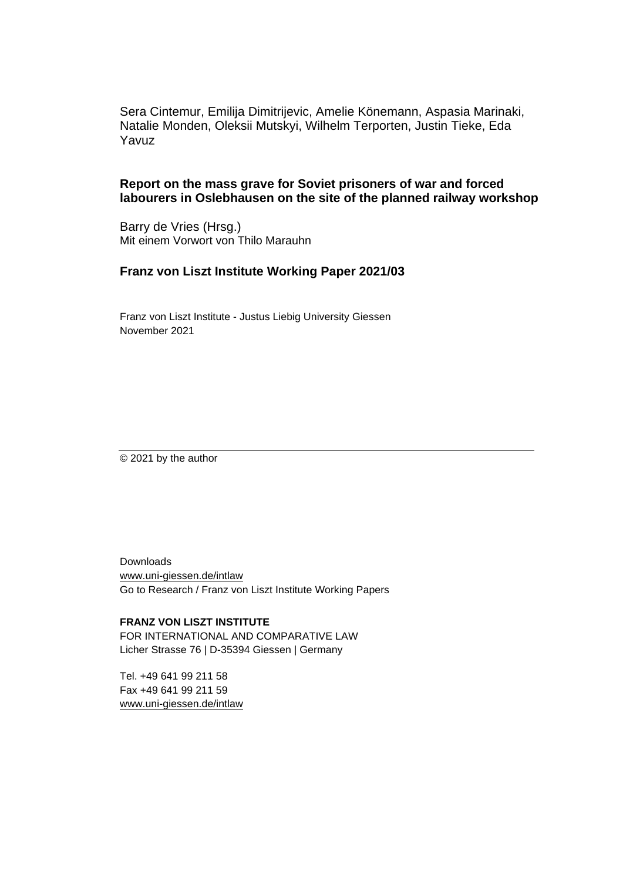Sera Cintemur, Emilija Dimitrijevic, Amelie Könemann, Aspasia Marinaki, Natalie Monden, Oleksii Mutskyi, Wilhelm Terporten, Justin Tieke, Eda Yavuz

### **Report on the mass grave for Soviet prisoners of war and forced labourers in Oslebhausen on the site of the planned railway workshop**

Barry de Vries (Hrsg.) Mit einem Vorwort von Thilo Marauhn

### **Franz von Liszt Institute Working Paper 2021/03**

Franz von Liszt Institute - Justus Liebig University Giessen November 2021

© 2021 by the author

Downloads www.uni-giessen.de/intlaw Go to Research / Franz von Liszt Institute Working Papers

**FRANZ VON LISZT INSTITUTE** FOR INTERNATIONAL AND COMPARATIVE LAW Licher Strasse 76 | D-35394 Giessen | Germany

Tel. +49 641 99 211 58 Fax +49 641 99 211 59 www.uni-giessen.de/intlaw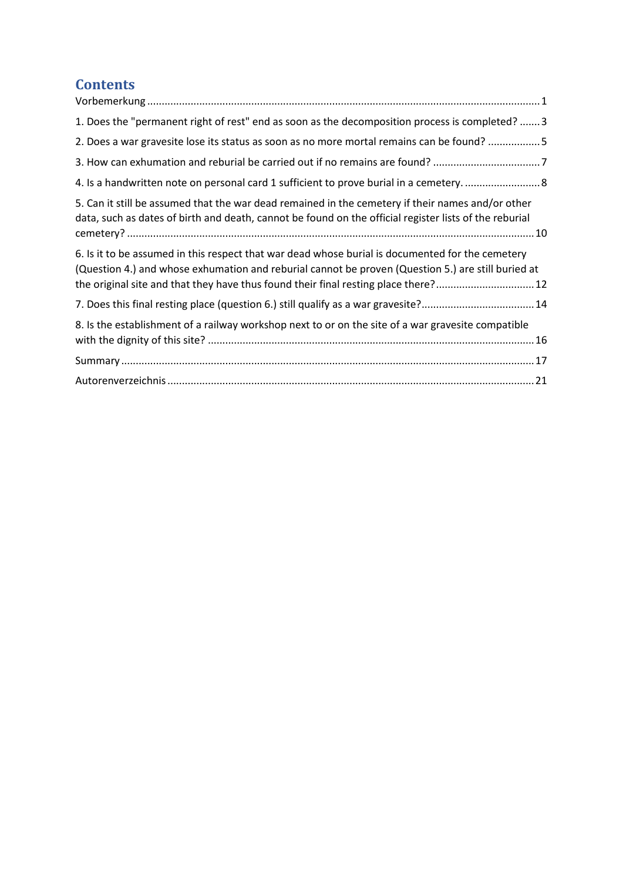# **Contents**

| 1. Does the "permanent right of rest" end as soon as the decomposition process is completed?  3                                                                                                                                                                                              |
|----------------------------------------------------------------------------------------------------------------------------------------------------------------------------------------------------------------------------------------------------------------------------------------------|
| 2. Does a war gravesite lose its status as soon as no more mortal remains can be found? 5                                                                                                                                                                                                    |
| 3. How can exhumation and reburial be carried out if no remains are found? 7                                                                                                                                                                                                                 |
|                                                                                                                                                                                                                                                                                              |
| 5. Can it still be assumed that the war dead remained in the cemetery if their names and/or other<br>data, such as dates of birth and death, cannot be found on the official register lists of the reburial                                                                                  |
| 6. Is it to be assumed in this respect that war dead whose burial is documented for the cemetery<br>(Question 4.) and whose exhumation and reburial cannot be proven (Question 5.) are still buried at<br>the original site and that they have thus found their final resting place there?12 |
| 7. Does this final resting place (question 6.) still qualify as a war gravesite?14                                                                                                                                                                                                           |
| 8. Is the establishment of a railway workshop next to or on the site of a war gravesite compatible                                                                                                                                                                                           |
|                                                                                                                                                                                                                                                                                              |
|                                                                                                                                                                                                                                                                                              |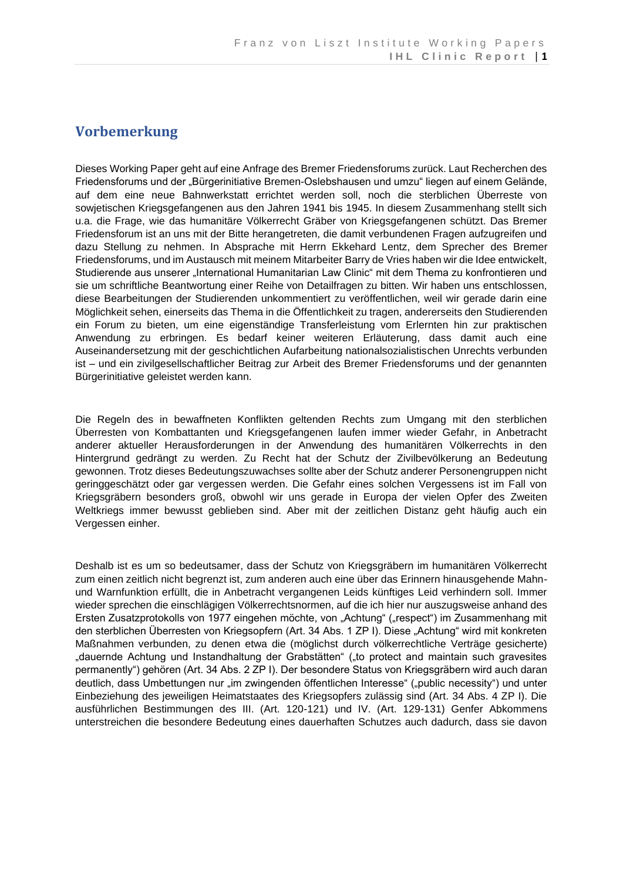### <span id="page-4-0"></span>**Vorbemerkung**

Dieses Working Paper geht auf eine Anfrage des Bremer Friedensforums zurück. Laut Recherchen des Friedensforums und der "Bürgerinitiative Bremen-Oslebshausen und umzu" liegen auf einem Gelände, auf dem eine neue Bahnwerkstatt errichtet werden soll, noch die sterblichen Überreste von sowjetischen Kriegsgefangenen aus den Jahren 1941 bis 1945. In diesem Zusammenhang stellt sich u.a. die Frage, wie das humanitäre Völkerrecht Gräber von Kriegsgefangenen schützt. Das Bremer Friedensforum ist an uns mit der Bitte herangetreten, die damit verbundenen Fragen aufzugreifen und dazu Stellung zu nehmen. In Absprache mit Herrn Ekkehard Lentz, dem Sprecher des Bremer Friedensforums, und im Austausch mit meinem Mitarbeiter Barry de Vries haben wir die Idee entwickelt, Studierende aus unserer "International Humanitarian Law Clinic" mit dem Thema zu konfrontieren und sie um schriftliche Beantwortung einer Reihe von Detailfragen zu bitten. Wir haben uns entschlossen, diese Bearbeitungen der Studierenden unkommentiert zu veröffentlichen, weil wir gerade darin eine Möglichkeit sehen, einerseits das Thema in die Öffentlichkeit zu tragen, andererseits den Studierenden ein Forum zu bieten, um eine eigenständige Transferleistung vom Erlernten hin zur praktischen Anwendung zu erbringen. Es bedarf keiner weiteren Erläuterung, dass damit auch eine Auseinandersetzung mit der geschichtlichen Aufarbeitung nationalsozialistischen Unrechts verbunden ist – und ein zivilgesellschaftlicher Beitrag zur Arbeit des Bremer Friedensforums und der genannten Bürgerinitiative geleistet werden kann.

Die Regeln des in bewaffneten Konflikten geltenden Rechts zum Umgang mit den sterblichen Überresten von Kombattanten und Kriegsgefangenen laufen immer wieder Gefahr, in Anbetracht anderer aktueller Herausforderungen in der Anwendung des humanitären Völkerrechts in den Hintergrund gedrängt zu werden. Zu Recht hat der Schutz der Zivilbevölkerung an Bedeutung gewonnen. Trotz dieses Bedeutungszuwachses sollte aber der Schutz anderer Personengruppen nicht geringgeschätzt oder gar vergessen werden. Die Gefahr eines solchen Vergessens ist im Fall von Kriegsgräbern besonders groß, obwohl wir uns gerade in Europa der vielen Opfer des Zweiten Weltkriegs immer bewusst geblieben sind. Aber mit der zeitlichen Distanz geht häufig auch ein Vergessen einher.

Deshalb ist es um so bedeutsamer, dass der Schutz von Kriegsgräbern im humanitären Völkerrecht zum einen zeitlich nicht begrenzt ist, zum anderen auch eine über das Erinnern hinausgehende Mahnund Warnfunktion erfüllt, die in Anbetracht vergangenen Leids künftiges Leid verhindern soll. Immer wieder sprechen die einschlägigen Völkerrechtsnormen, auf die ich hier nur auszugsweise anhand des Ersten Zusatzprotokolls von 1977 eingehen möchte, von "Achtung" ("respect") im Zusammenhang mit den sterblichen Überresten von Kriegsopfern (Art. 34 Abs. 1 ZP I). Diese "Achtung" wird mit konkreten Maßnahmen verbunden, zu denen etwa die (möglichst durch völkerrechtliche Verträge gesicherte) "dauernde Achtung und Instandhaltung der Grabstätten" ("to protect and maintain such gravesites permanently") gehören (Art. 34 Abs. 2 ZP I). Der besondere Status von Kriegsgräbern wird auch daran deutlich, dass Umbettungen nur "im zwingenden öffentlichen Interesse" ("public necessity") und unter Einbeziehung des jeweiligen Heimatstaates des Kriegsopfers zulässig sind (Art. 34 Abs. 4 ZP I). Die ausführlichen Bestimmungen des III. (Art. 120-121) und IV. (Art. 129-131) Genfer Abkommens unterstreichen die besondere Bedeutung eines dauerhaften Schutzes auch dadurch, dass sie davon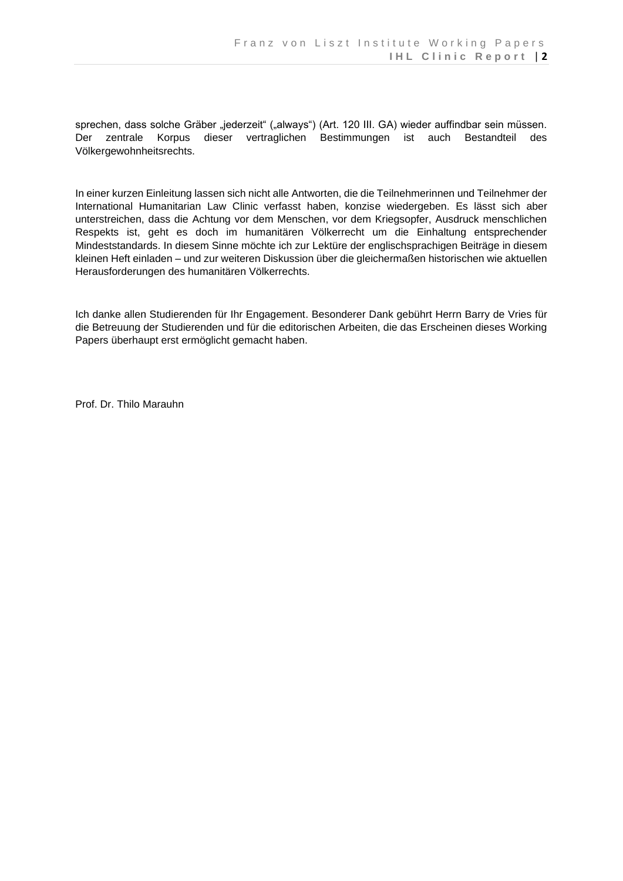sprechen, dass solche Gräber "jederzeit" ("always") (Art. 120 III. GA) wieder auffindbar sein müssen. Der zentrale Korpus dieser vertraglichen Bestimmungen ist auch Bestandteil des Völkergewohnheitsrechts.

In einer kurzen Einleitung lassen sich nicht alle Antworten, die die Teilnehmerinnen und Teilnehmer der International Humanitarian Law Clinic verfasst haben, konzise wiedergeben. Es lässt sich aber unterstreichen, dass die Achtung vor dem Menschen, vor dem Kriegsopfer, Ausdruck menschlichen Respekts ist, geht es doch im humanitären Völkerrecht um die Einhaltung entsprechender Mindeststandards. In diesem Sinne möchte ich zur Lektüre der englischsprachigen Beiträge in diesem kleinen Heft einladen – und zur weiteren Diskussion über die gleichermaßen historischen wie aktuellen Herausforderungen des humanitären Völkerrechts.

Ich danke allen Studierenden für Ihr Engagement. Besonderer Dank gebührt Herrn Barry de Vries für die Betreuung der Studierenden und für die editorischen Arbeiten, die das Erscheinen dieses Working Papers überhaupt erst ermöglicht gemacht haben.

Prof. Dr. Thilo Marauhn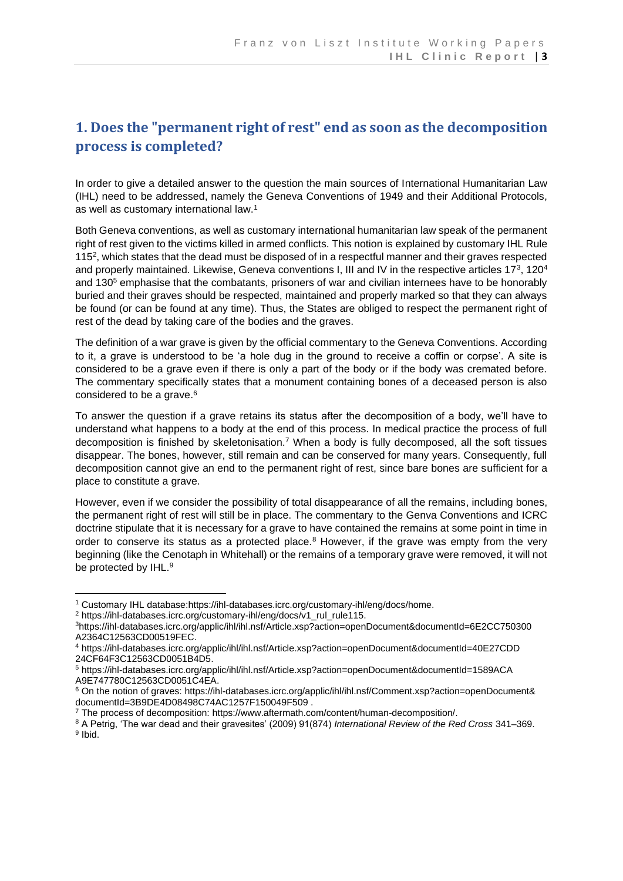# <span id="page-6-0"></span>**1. Does the "permanent right of rest" end as soon as the decomposition process is completed?**

In order to give a detailed answer to the question the main sources of International Humanitarian Law (IHL) need to be addressed, namely the Geneva Conventions of 1949 and their Additional Protocols, as well as customary international law.<sup>1</sup>

Both Geneva conventions, as well as customary international humanitarian law speak of the permanent right of rest given to the victims killed in armed conflicts. This notion is explained by customary IHL Rule 115<sup>2</sup>, which states that the dead must be disposed of in a respectful manner and their graves respected and properly maintained. Likewise, Geneva conventions I, III and IV in the respective articles 17<sup>3</sup>, 120<sup>4</sup> and 130<sup>5</sup> emphasise that the combatants, prisoners of war and civilian internees have to be honorably buried and their graves should be respected, maintained and properly marked so that they can always be found (or can be found at any time). Thus, the States are obliged to respect the permanent right of rest of the dead by taking care of the bodies and the graves.

The definition of a war grave is given by the official commentary to the Geneva Conventions. According to it, a grave is understood to be 'a hole dug in the ground to receive a coffin or corpse'. A site is considered to be a grave even if there is only a part of the body or if the body was cremated before. The commentary specifically states that a monument containing bones of a deceased person is also considered to be a grave.<sup>6</sup>

To answer the question if a grave retains its status after the decomposition of a body, we'll have to understand what happens to a body at the end of this process. In medical practice the process of full decomposition is finished by skeletonisation.<sup>7</sup> When a body is fully decomposed, all the soft tissues disappear. The bones, however, still remain and can be conserved for many years. Consequently, full decomposition cannot give an end to the permanent right of rest, since bare bones are sufficient for a place to constitute a grave.

However, even if we consider the possibility of total disappearance of all the remains, including bones, the permanent right of rest will still be in place. The commentary to the Genva Conventions and ICRC doctrine stipulate that it is necessary for a grave to have contained the remains at some point in time in order to conserve its status as a protected place.<sup>8</sup> However, if the grave was empty from the very beginning (like the Cenotaph in Whitehall) or the remains of a temporary grave were removed, it will not be protected by IHL.<sup>9</sup>

<sup>1</sup> Customary IHL database[:https://ihl-databases.icrc.org/customary-ihl/eng/docs/home.](https://ihl-databases.icrc.org/customary-ihl/eng/docs/home)

<sup>2</sup> https://ihl-databases.icrc.org/customary-ihl/eng/docs/v1\_rul\_rule115.

<sup>3</sup><https://ihl-databases.icrc.org/applic/ihl/ihl.nsf/Article.xsp?action=openDocument&documentId=6E2CC750300> A2364C12563CD00519FEC.

<sup>4</sup> <https://ihl-databases.icrc.org/applic/ihl/ihl.nsf/Article.xsp?action=openDocument&documentId=40E27CDD> 24CF64F3C12563CD0051B4D5.

<sup>5</sup> <https://ihl-databases.icrc.org/applic/ihl/ihl.nsf/Article.xsp?action=openDocument&documentId=1589ACA> A9E747780C12563CD0051C4EA.

<sup>6</sup> On the notion of graves: [https://ihl-databases.icrc.org/applic/ihl/ihl.nsf/Comment.xsp?action=openDocument&](https://ihl-databases.icrc.org/applic/ihl/ihl.nsf/Comment.xsp?action=openDocument&%20documentId=3B9DE4D08498C74AC1257F150049F509)  [documentId=3B9DE4D08498C74AC1257F150049F509](https://ihl-databases.icrc.org/applic/ihl/ihl.nsf/Comment.xsp?action=openDocument&%20documentId=3B9DE4D08498C74AC1257F150049F509) .

<sup>7</sup> The process of decomposition: [https://www.aftermath.com/content/human-decomposition/.](https://www.aftermath.com/content/human-decomposition/)

<sup>8</sup> A Petrig, 'The war dead and their gravesites' (2009) 91(874) *International Review of the Red Cross* 341–369. <sup>9</sup> Ibid.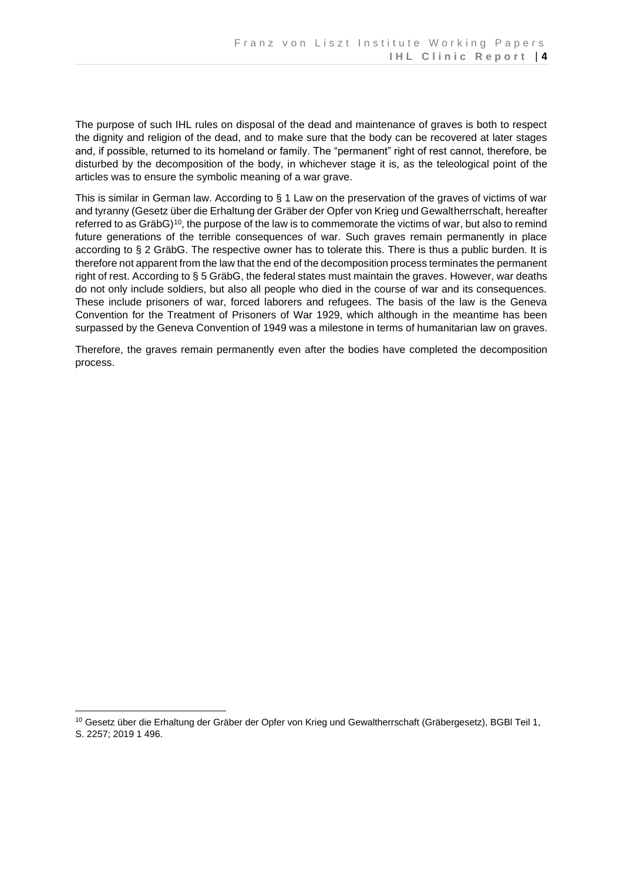The purpose of such IHL rules on disposal of the dead and maintenance of graves is both to respect the dignity and religion of the dead, and to make sure that the body can be recovered at later stages and, if possible, returned to its homeland or family. The "permanent" right of rest cannot, therefore, be disturbed by the decomposition of the body, in whichever stage it is, as the teleological point of the articles was to ensure the symbolic meaning of a war grave.

This is similar in German law. According to § 1 Law on the preservation of the graves of victims of war and tyranny (Gesetz über die Erhaltung der Gräber der Opfer von Krieg und Gewaltherrschaft, hereafter referred to as GräbG)<sup>10</sup>, the purpose of the law is to commemorate the victims of war, but also to remind future generations of the terrible consequences of war. Such graves remain permanently in place according to § 2 GräbG. The respective owner has to tolerate this. There is thus a public burden. It is therefore not apparent from the law that the end of the decomposition process terminates the permanent right of rest. According to § 5 GräbG, the federal states must maintain the graves. However, war deaths do not only include soldiers, but also all people who died in the course of war and its consequences. These include prisoners of war, forced laborers and refugees. The basis of the law is the Geneva Convention for the Treatment of Prisoners of War 1929, which although in the meantime has been surpassed by the Geneva Convention of 1949 was a milestone in terms of humanitarian law on graves.

Therefore, the graves remain permanently even after the bodies have completed the decomposition process.

<sup>10</sup> Gesetz über die Erhaltung der Gräber der Opfer von Krieg und Gewaltherrschaft (Gräbergesetz), BGBl Teil 1, S. 2257; 2019 1 496.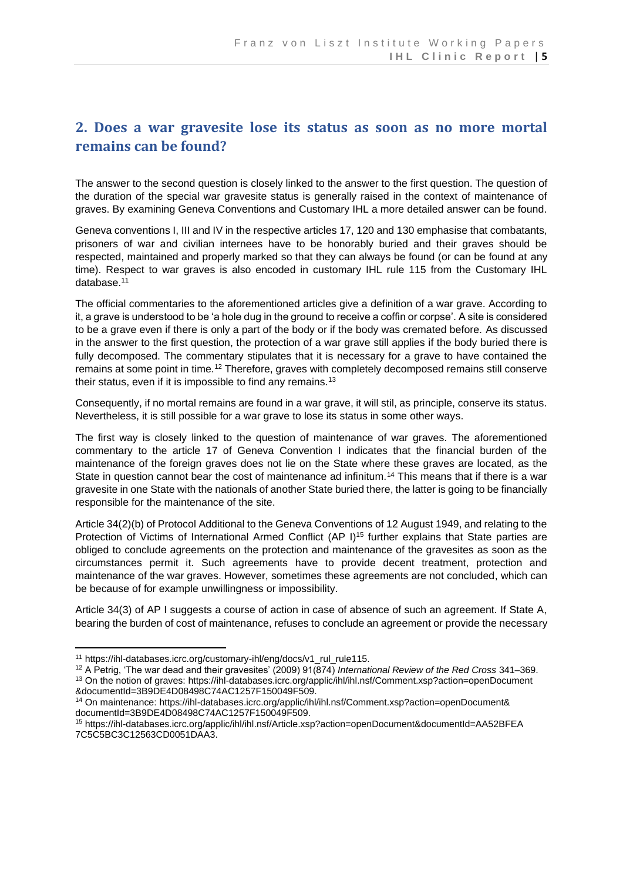### <span id="page-8-0"></span>**2. Does a war gravesite lose its status as soon as no more mortal remains can be found?**

The answer to the second question is closely linked to the answer to the first question. The question of the duration of the special war gravesite status is generally raised in the context of maintenance of graves. By examining Geneva Conventions and Customary IHL a more detailed answer can be found.

Geneva conventions I, III and IV in the respective articles 17, 120 and 130 emphasise that combatants, prisoners of war and civilian internees have to be honorably buried and their graves should be respected, maintained and properly marked so that they can always be found (or can be found at any time). Respect to war graves is also encoded in customary IHL rule 115 from the Customary IHL database.<sup>11</sup>

The official commentaries to the aforementioned articles give a definition of a war grave. According to it, a grave is understood to be 'a hole dug in the ground to receive a coffin or corpse'. A site is considered to be a grave even if there is only a part of the body or if the body was cremated before. As discussed in the answer to the first question, the protection of a war grave still applies if the body buried there is fully decomposed. The commentary stipulates that it is necessary for a grave to have contained the remains at some point in time.<sup>12</sup> Therefore, graves with completely decomposed remains still conserve their status, even if it is impossible to find any remains.<sup>13</sup>

Consequently, if no mortal remains are found in a war grave, it will stil, as principle, conserve its status. Nevertheless, it is still possible for a war grave to lose its status in some other ways.

The first way is closely linked to the question of maintenance of war graves. The aforementioned commentary to the article 17 of Geneva Convention I indicates that the financial burden of the maintenance of the foreign graves does not lie on the State where these graves are located, as the State in question cannot bear the cost of maintenance ad infinitum.<sup>14</sup> This means that if there is a war gravesite in one State with the nationals of another State buried there, the latter is going to be financially responsible for the maintenance of the site.

Article 34(2)(b) of Protocol Additional to the Geneva Conventions of 12 August 1949, and relating to the Protection of Victims of International Armed Conflict (AP I)<sup>15</sup> further explains that State parties are obliged to conclude agreements on the protection and maintenance of the gravesites as soon as the circumstances permit it. Such agreements have to provide decent treatment, protection and maintenance of the war graves. However, sometimes these agreements are not concluded, which can be because of for example unwillingness or impossibility.

Article 34(3) of AP I suggests a course of action in case of absence of such an agreement. If State A, bearing the burden of cost of maintenance, refuses to conclude an agreement or provide the necessary

<sup>&</sup>lt;sup>11</sup> https://ihl-databases.icrc.org/customary-ihl/eng/docs/v1\_rul\_rule115.

<sup>12</sup> A Petrig, 'The war dead and their gravesites' (2009) 91(874) *International Review of the Red Cross* 341–369. <sup>13</sup> On the notion of graves[: https://ihl-databases.icrc.org/applic/ihl/ihl.nsf/Comment.xsp?action=openDocument](https://ihl-databases.icrc.org/applic/ihl/ihl.nsf/Comment.xsp?action=openDocument%20&documentId=3B9DE4D08498C74AC1257F150049F509) 

[<sup>&</sup>amp;documentId=3B9DE4D08498C74AC1257F150049F509.](https://ihl-databases.icrc.org/applic/ihl/ihl.nsf/Comment.xsp?action=openDocument%20&documentId=3B9DE4D08498C74AC1257F150049F509)

<sup>14</sup> On maintenance: [https://ihl-databases.icrc.org/applic/ihl/ihl.nsf/Comment.xsp?action=openDocument&](https://ihl-databases.icrc.org/applic/ihl/ihl.nsf/Comment.xsp?action=openDocument&%20documentId=3B9DE4D08498C74AC1257F150049F509)  [documentId=3B9DE4D08498C74AC1257F150049F509.](https://ihl-databases.icrc.org/applic/ihl/ihl.nsf/Comment.xsp?action=openDocument&%20documentId=3B9DE4D08498C74AC1257F150049F509)

<sup>15</sup> <https://ihl-databases.icrc.org/applic/ihl/ihl.nsf/Article.xsp?action=openDocument&documentId=AA52BFEA> 7C5C5BC3C12563CD0051DAA3.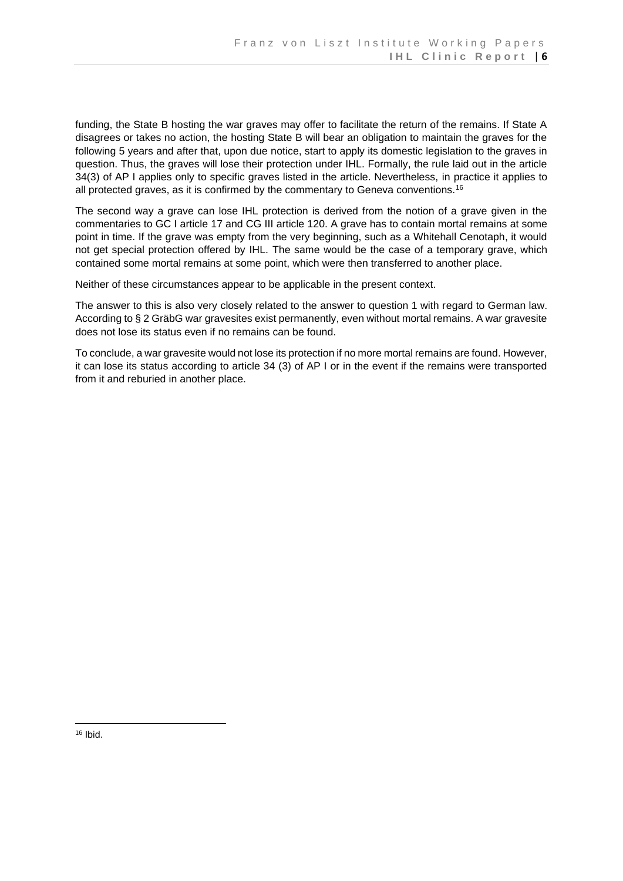funding, the State B hosting the war graves may offer to facilitate the return of the remains. If State A disagrees or takes no action, the hosting State B will bear an obligation to maintain the graves for the following 5 years and after that, upon due notice, start to apply its domestic legislation to the graves in question. Thus, the graves will lose their protection under IHL. Formally, the rule laid out in the article 34(3) of AP I applies only to specific graves listed in the article. Nevertheless, in practice it applies to all protected graves, as it is confirmed by the commentary to Geneva conventions.<sup>16</sup>

The second way a grave can lose IHL protection is derived from the notion of a grave given in the commentaries to GC I article 17 and CG III article 120. A grave has to contain mortal remains at some point in time. If the grave was empty from the very beginning, such as a Whitehall Cenotaph, it would not get special protection offered by IHL. The same would be the case of a temporary grave, which contained some mortal remains at some point, which were then transferred to another place.

Neither of these circumstances appear to be applicable in the present context.

The answer to this is also very closely related to the answer to question 1 with regard to German law. According to § 2 GräbG war gravesites exist permanently, even without mortal remains. A war gravesite does not lose its status even if no remains can be found.

To conclude, a war gravesite would not lose its protection if no more mortal remains are found. However, it can lose its status according to article 34 (3) of AP I or in the event if the remains were transported from it and reburied in another place.

 $16$  Ibid.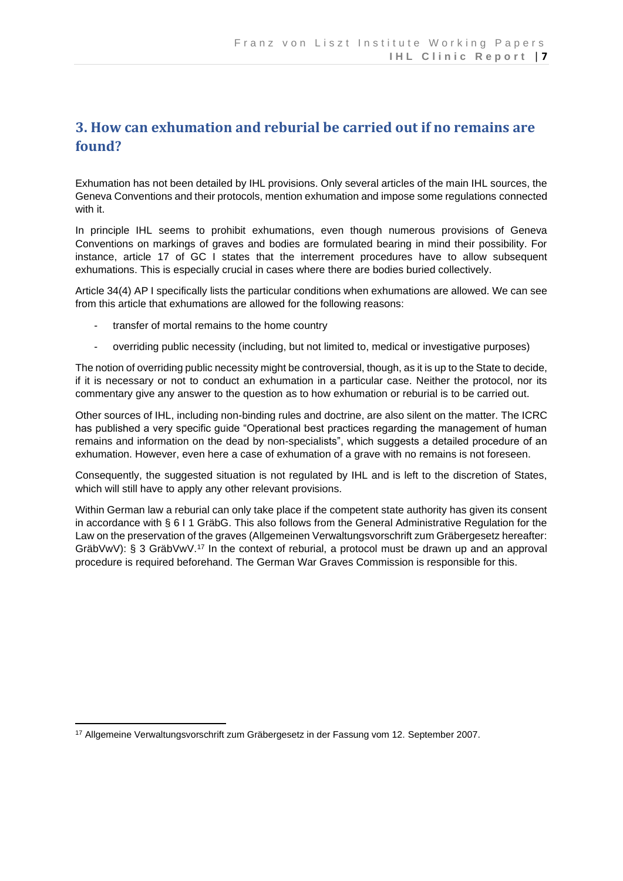### <span id="page-10-0"></span>**3. How can exhumation and reburial be carried out if no remains are found?**

Exhumation has not been detailed by IHL provisions. Only several articles of the main IHL sources, the Geneva Conventions and their protocols, mention exhumation and impose some regulations connected with it.

In principle IHL seems to prohibit exhumations, even though numerous provisions of Geneva Conventions on markings of graves and bodies are formulated bearing in mind their possibility. For instance, article 17 of GC I states that the interrement procedures have to allow subsequent exhumations. This is especially crucial in cases where there are bodies buried collectively.

Article 34(4) AP I specifically lists the particular conditions when exhumations are allowed. We can see from this article that exhumations are allowed for the following reasons:

- transfer of mortal remains to the home country
- overriding public necessity (including, but not limited to, medical or investigative purposes)

The notion of overriding public necessity might be controversial, though, as it is up to the State to decide, if it is necessary or not to conduct an exhumation in a particular case. Neither the protocol, nor its commentary give any answer to the question as to how exhumation or reburial is to be carried out.

Other sources of IHL, including non-binding rules and doctrine, are also silent on the matter. The ICRC has published a very specific guide "Operational best practices regarding the management of human remains and information on the dead by non-specialists", which suggests a detailed procedure of an exhumation. However, even here a case of exhumation of a grave with no remains is not foreseen.

Consequently, the suggested situation is not regulated by IHL and is left to the discretion of States, which will still have to apply any other relevant provisions.

Within German law a reburial can only take place if the competent state authority has given its consent in accordance with § 6 I 1 GräbG. This also follows from the General Administrative Regulation for the Law on the preservation of the graves (Allgemeinen Verwaltungsvorschrift zum Gräbergesetz hereafter: GräbVwV): § 3 GräbVwV.<sup>17</sup> In the context of reburial, a protocol must be drawn up and an approval procedure is required beforehand. The German War Graves Commission is responsible for this.

<sup>17</sup> Allgemeine Verwaltungsvorschrift zum Gräbergesetz in der Fassung vom 12. September 2007.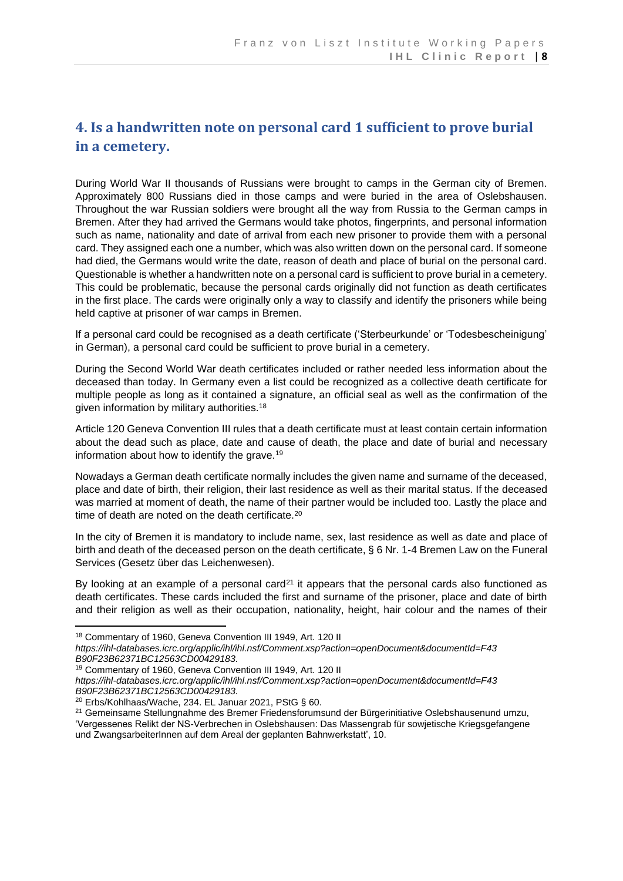# <span id="page-11-0"></span>**4. Is a handwritten note on personal card 1 sufficient to prove burial in a cemetery.**

During World War II thousands of Russians were brought to camps in the German city of Bremen. Approximately 800 Russians died in those camps and were buried in the area of Oslebshausen. Throughout the war Russian soldiers were brought all the way from Russia to the German camps in Bremen. After they had arrived the Germans would take photos, fingerprints, and personal information such as name, nationality and date of arrival from each new prisoner to provide them with a personal card. They assigned each one a number, which was also written down on the personal card. If someone had died, the Germans would write the date, reason of death and place of burial on the personal card. Questionable is whether a handwritten note on a personal card is sufficient to prove burial in a cemetery. This could be problematic, because the personal cards originally did not function as death certificates in the first place. The cards were originally only a way to classify and identify the prisoners while being held captive at prisoner of war camps in Bremen.

If a personal card could be recognised as a death certificate ('Sterbeurkunde' or 'Todesbescheinigung' in German), a personal card could be sufficient to prove burial in a cemetery.

During the Second World War death certificates included or rather needed less information about the deceased than today. In Germany even a list could be recognized as a collective death certificate for multiple people as long as it contained a signature, an official seal as well as the confirmation of the given information by military authorities.<sup>18</sup>

Article 120 Geneva Convention III rules that a death certificate must at least contain certain information about the dead such as place, date and cause of death, the place and date of burial and necessary information about how to identify the grave.<sup>19</sup>

Nowadays a German death certificate normally includes the given name and surname of the deceased, place and date of birth, their religion, their last residence as well as their marital status. If the deceased was married at moment of death, the name of their partner would be included too. Lastly the place and time of death are noted on the death certificate.<sup>20</sup>

In the city of Bremen it is mandatory to include name, sex, last residence as well as date and place of birth and death of the deceased person on the death certificate, § 6 Nr. 1-4 Bremen Law on the Funeral Services (Gesetz über das Leichenwesen).

By looking at an example of a personal card<sup>21</sup> it appears that the personal cards also functioned as death certificates. These cards included the first and surname of the prisoner, place and date of birth and their religion as well as their occupation, nationality, height, hair colour and the names of their

<sup>18</sup> Commentary of 1960, Geneva Convention III 1949, Art. 120 II

*https://ihl-databases.icrc.org/applic/ihl/ihl.nsf/Comment.xsp?action=openDocument&documentId=F43 B90F23B62371BC12563CD00429183.*

<sup>19</sup> Commentary of 1960, Geneva Convention III 1949, Art. 120 II

*https://ihl-databases.icrc.org/applic/ihl/ihl.nsf/Comment.xsp?action=openDocument&documentId=F43 B90F23B62371BC12563CD00429183.*

<sup>20</sup> Erbs/Kohlhaas/Wache, 234. EL Januar 2021, PStG § 60.

<sup>&</sup>lt;sup>21</sup> Gemeinsame Stellungnahme des Bremer Friedensforumsund der Bürgerinitiative Oslebshausenund umzu, 'Vergessenes Relikt der NS-Verbrechen in Oslebshausen: Das Massengrab für sowjetische Kriegsgefangene und ZwangsarbeiterInnen auf dem Areal der geplanten Bahnwerkstatt', 10.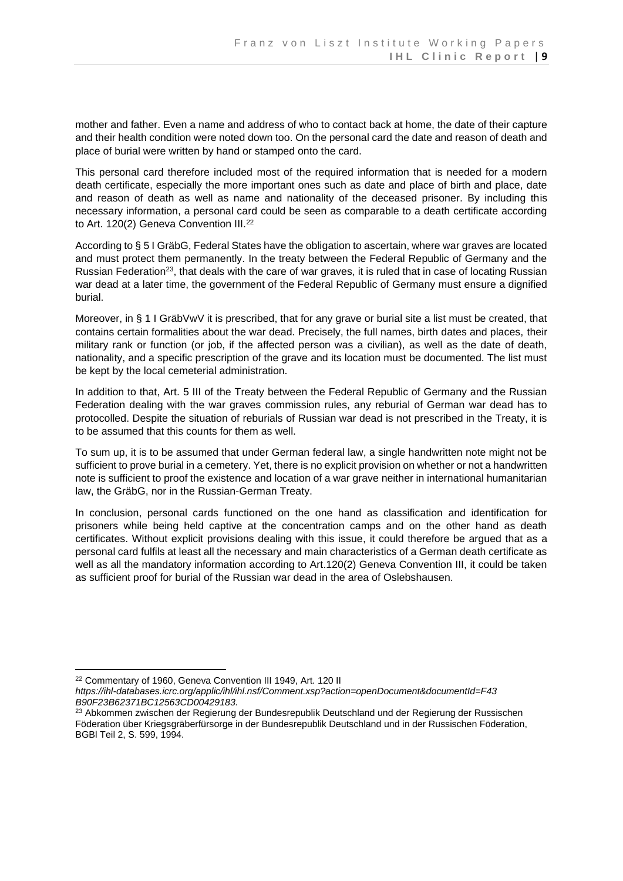mother and father. Even a name and address of who to contact back at home, the date of their capture and their health condition were noted down too. On the personal card the date and reason of death and place of burial were written by hand or stamped onto the card.

This personal card therefore included most of the required information that is needed for a modern death certificate, especially the more important ones such as date and place of birth and place, date and reason of death as well as name and nationality of the deceased prisoner. By including this necessary information, a personal card could be seen as comparable to a death certificate according to Art. 120(2) Geneva Convention III.<sup>22</sup>

According to § 5 I GräbG, Federal States have the obligation to ascertain, where war graves are located and must protect them permanently. In the treaty between the Federal Republic of Germany and the Russian Federation<sup>23</sup>, that deals with the care of war graves, it is ruled that in case of locating Russian war dead at a later time, the government of the Federal Republic of Germany must ensure a dignified burial.

Moreover, in § 1 I GräbVwV it is prescribed, that for any grave or burial site a list must be created, that contains certain formalities about the war dead. Precisely, the full names, birth dates and places, their military rank or function (or job, if the affected person was a civilian), as well as the date of death, nationality, and a specific prescription of the grave and its location must be documented. The list must be kept by the local cemeterial administration.

In addition to that, Art. 5 III of the Treaty between the Federal Republic of Germany and the Russian Federation dealing with the war graves commission rules, any reburial of German war dead has to protocolled. Despite the situation of reburials of Russian war dead is not prescribed in the Treaty, it is to be assumed that this counts for them as well.

To sum up, it is to be assumed that under German federal law, a single handwritten note might not be sufficient to prove burial in a cemetery. Yet, there is no explicit provision on whether or not a handwritten note is sufficient to proof the existence and location of a war grave neither in international humanitarian law, the GräbG, nor in the Russian-German Treaty.

In conclusion, personal cards functioned on the one hand as classification and identification for prisoners while being held captive at the concentration camps and on the other hand as death certificates. Without explicit provisions dealing with this issue, it could therefore be argued that as a personal card fulfils at least all the necessary and main characteristics of a German death certificate as well as all the mandatory information according to Art.120(2) Geneva Convention III, it could be taken as sufficient proof for burial of the Russian war dead in the area of Oslebshausen.

<sup>22</sup> Commentary of 1960, Geneva Convention III 1949, Art. 120 II

*https://ihl-databases.icrc.org/applic/ihl/ihl.nsf/Comment.xsp?action=openDocument&documentId=F43 B90F23B62371BC12563CD00429183.*

<sup>&</sup>lt;sup>23</sup> Abkommen zwischen der Regierung der Bundesrepublik Deutschland und der Regierung der Russischen Föderation über Kriegsgräberfürsorge in der Bundesrepublik Deutschland und in der Russischen Föderation, BGBl Teil 2, S. 599, 1994.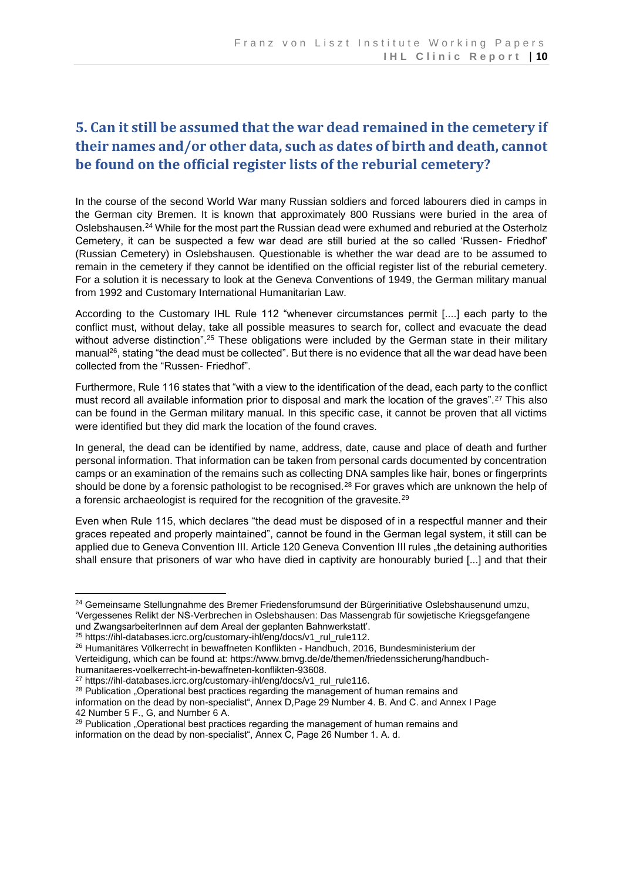# <span id="page-13-0"></span>**5. Can it still be assumed that the war dead remained in the cemetery if their names and/or other data, such as dates of birth and death, cannot be found on the official register lists of the reburial cemetery?**

In the course of the second World War many Russian soldiers and forced labourers died in camps in the German city Bremen. It is known that approximately 800 Russians were buried in the area of Oslebshausen.<sup>24</sup> While for the most part the Russian dead were exhumed and reburied at the Osterholz Cemetery, it can be suspected a few war dead are still buried at the so called 'Russen- Friedhof' (Russian Cemetery) in Oslebshausen. Questionable is whether the war dead are to be assumed to remain in the cemetery if they cannot be identified on the official register list of the reburial cemetery. For a solution it is necessary to look at the Geneva Conventions of 1949, the German military manual from 1992 and Customary International Humanitarian Law.

According to the Customary IHL Rule 112 "whenever circumstances permit [....] each party to the conflict must, without delay, take all possible measures to search for, collect and evacuate the dead without adverse distinction".<sup>25</sup> These obligations were included by the German state in their military manual<sup>26</sup>, stating "the dead must be collected". But there is no evidence that all the war dead have been collected from the "Russen- Friedhof".

Furthermore, Rule 116 states that "with a view to the identification of the dead, each party to the conflict must record all available information prior to disposal and mark the location of the graves".<sup>27</sup> This also can be found in the German military manual. In this specific case, it cannot be proven that all victims were identified but they did mark the location of the found craves.

In general, the dead can be identified by name, address, date, cause and place of death and further personal information. That information can be taken from personal cards documented by concentration camps or an examination of the remains such as collecting DNA samples like hair, bones or fingerprints should be done by a forensic pathologist to be recognised.<sup>28</sup> For graves which are unknown the help of a forensic archaeologist is required for the recognition of the gravesite.<sup>29</sup>

Even when Rule 115, which declares "the dead must be disposed of in a respectful manner and their graces repeated and properly maintained", cannot be found in the German legal system, it still can be applied due to Geneva Convention III. Article 120 Geneva Convention III rules "the detaining authorities shall ensure that prisoners of war who have died in captivity are honourably buried [...] and that their

<sup>&</sup>lt;sup>24</sup> Gemeinsame Stellungnahme des Bremer Friedensforumsund der Bürgerinitiative Oslebshausenund umzu, 'Vergessenes Relikt der NS-Verbrechen in Oslebshausen: Das Massengrab für sowjetische Kriegsgefangene und ZwangsarbeiterInnen auf dem Areal der geplanten Bahnwerkstatt'.

<sup>25</sup> https://ihl-databases.icrc.org/customary-ihl/eng/docs/v1\_rul\_rule112.

<sup>26</sup> Humanitäres Völkerrecht in bewaffneten Konflikten - Handbuch, 2016, Bundesministerium der Verteidigung, which can be found at: https://www.bmvg.de/de/themen/friedenssicherung/handbuch-

humanitaeres-voelkerrecht-in-bewaffneten-konflikten-93608.

<sup>27</sup> https://ihl-databases.icrc.org/customary-ihl/eng/docs/v1\_rul\_rule116.

<sup>&</sup>lt;sup>28</sup> Publication "Operational best practices regarding the management of human remains and information on the dead by non-specialist", Annex D,Page 29 Number 4. B. And C. and Annex I Page 42 Number 5 F., G, and Number 6 A.

<sup>&</sup>lt;sup>29</sup> Publication "Operational best practices regarding the management of human remains and information on the dead by non-specialist", Annex C, Page 26 Number 1. A. d.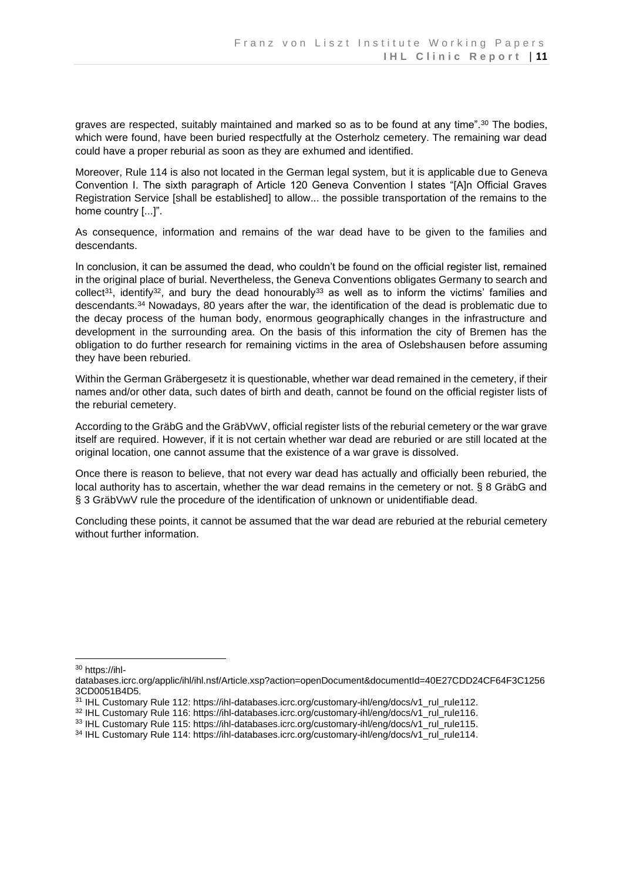graves are respected, suitably maintained and marked so as to be found at any time".<sup>30</sup> The bodies, which were found, have been buried respectfully at the Osterholz cemetery. The remaining war dead could have a proper reburial as soon as they are exhumed and identified.

Moreover, Rule 114 is also not located in the German legal system, but it is applicable due to Geneva Convention I. The sixth paragraph of Article 120 Geneva Convention I states "[A]n Official Graves Registration Service [shall be established] to allow... the possible transportation of the remains to the home country [...]".

As consequence, information and remains of the war dead have to be given to the families and descendants.

In conclusion, it can be assumed the dead, who couldn't be found on the official register list, remained in the original place of burial. Nevertheless, the Geneva Conventions obligates Germany to search and collect<sup>31</sup>, identify<sup>32</sup>, and bury the dead honourably<sup>33</sup> as well as to inform the victims' families and descendants.<sup>34</sup> Nowadays, 80 years after the war, the identification of the dead is problematic due to the decay process of the human body, enormous geographically changes in the infrastructure and development in the surrounding area. On the basis of this information the city of Bremen has the obligation to do further research for remaining victims in the area of Oslebshausen before assuming they have been reburied.

Within the German Gräbergesetz it is questionable, whether war dead remained in the cemetery, if their names and/or other data, such dates of birth and death, cannot be found on the official register lists of the reburial cemetery.

According to the GräbG and the GräbVwV, official register lists of the reburial cemetery or the war grave itself are required. However, if it is not certain whether war dead are reburied or are still located at the original location, one cannot assume that the existence of a war grave is dissolved.

Once there is reason to believe, that not every war dead has actually and officially been reburied, the local authority has to ascertain, whether the war dead remains in the cemetery or not. § 8 GräbG and § 3 GräbVwV rule the procedure of the identification of unknown or unidentifiable dead.

Concluding these points, it cannot be assumed that the war dead are reburied at the reburial cemetery without further information.

<sup>30</sup> https://ihl-

databases.icrc.org/applic/ihl/ihl.nsf/Article.xsp?action=openDocument&documentId=40E27CDD24CF64F3C1256 3CD0051B4D5.

<sup>&</sup>lt;sup>31</sup> IHL Customary Rule 112: https://ihl-databases.icrc.org/customary-ihl/eng/docs/v1\_rul\_rule112.

<sup>32</sup> IHL Customary Rule 116: https://ihl-databases.icrc.org/customary-ihl/eng/docs/v1\_rul\_rule116.

<sup>33</sup> IHL Customary Rule 115: https://ihl-databases.icrc.org/customary-ihl/eng/docs/v1\_rul\_rule115.

<sup>34</sup> IHL Customary Rule 114: https://ihl-databases.icrc.org/customary-ihl/eng/docs/v1\_rul\_rule114.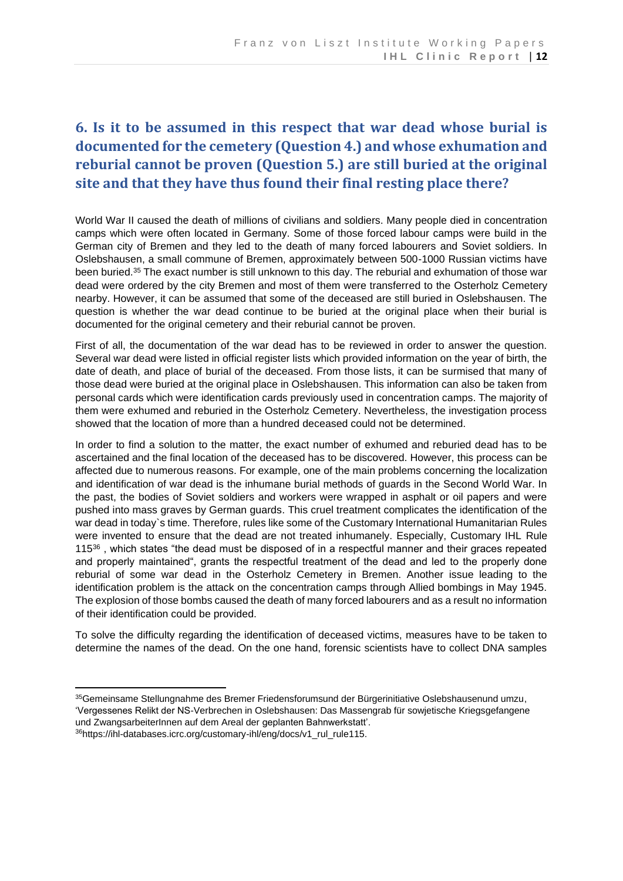# <span id="page-15-0"></span>**6. Is it to be assumed in this respect that war dead whose burial is documented for the cemetery (Question 4.) and whose exhumation and reburial cannot be proven (Question 5.) are still buried at the original site and that they have thus found their final resting place there?**

World War II caused the death of millions of civilians and soldiers. Many people died in concentration camps which were often located in Germany. Some of those forced labour camps were build in the German city of Bremen and they led to the death of many forced labourers and Soviet soldiers. In Oslebshausen, a small commune of Bremen, approximately between 500-1000 Russian victims have been buried.<sup>35</sup> The exact number is still unknown to this day. The reburial and exhumation of those war dead were ordered by the city Bremen and most of them were transferred to the Osterholz Cemetery nearby. However, it can be assumed that some of the deceased are still buried in Oslebshausen. The question is whether the war dead continue to be buried at the original place when their burial is documented for the original cemetery and their reburial cannot be proven.

First of all, the documentation of the war dead has to be reviewed in order to answer the question. Several war dead were listed in official register lists which provided information on the year of birth, the date of death, and place of burial of the deceased. From those lists, it can be surmised that many of those dead were buried at the original place in Oslebshausen. This information can also be taken from personal cards which were identification cards previously used in concentration camps. The majority of them were exhumed and reburied in the Osterholz Cemetery. Nevertheless, the investigation process showed that the location of more than a hundred deceased could not be determined.

In order to find a solution to the matter, the exact number of exhumed and reburied dead has to be ascertained and the final location of the deceased has to be discovered. However, this process can be affected due to numerous reasons. For example, one of the main problems concerning the localization and identification of war dead is the inhumane burial methods of guards in the Second World War. In the past, the bodies of Soviet soldiers and workers were wrapped in asphalt or oil papers and were pushed into mass graves by German guards. This cruel treatment complicates the identification of the war dead in today`s time. Therefore, rules like some of the Customary International Humanitarian Rules were invented to ensure that the dead are not treated inhumanely. Especially, Customary IHL Rule 115<sup>36</sup> , which states "the dead must be disposed of in a respectful manner and their graces repeated and properly maintained", grants the respectful treatment of the dead and led to the properly done reburial of some war dead in the Osterholz Cemetery in Bremen. Another issue leading to the identification problem is the attack on the concentration camps through Allied bombings in May 1945. The explosion of those bombs caused the death of many forced labourers and as a result no information of their identification could be provided.

To solve the difficulty regarding the identification of deceased victims, measures have to be taken to determine the names of the dead. On the one hand, forensic scientists have to collect DNA samples

35 Gemeinsame Stellungnahme des Bremer Friedensforumsund der Bürgerinitiative Oslebshausenund umzu, 'Vergessenes Relikt der NS-Verbrechen in Oslebshausen: Das Massengrab für sowjetische Kriegsgefangene und ZwangsarbeiterInnen auf dem Areal der geplanten Bahnwerkstatt'.

<sup>36</sup>https://ihl-databases.icrc.org/customary-ihl/eng/docs/v1\_rul\_rule115.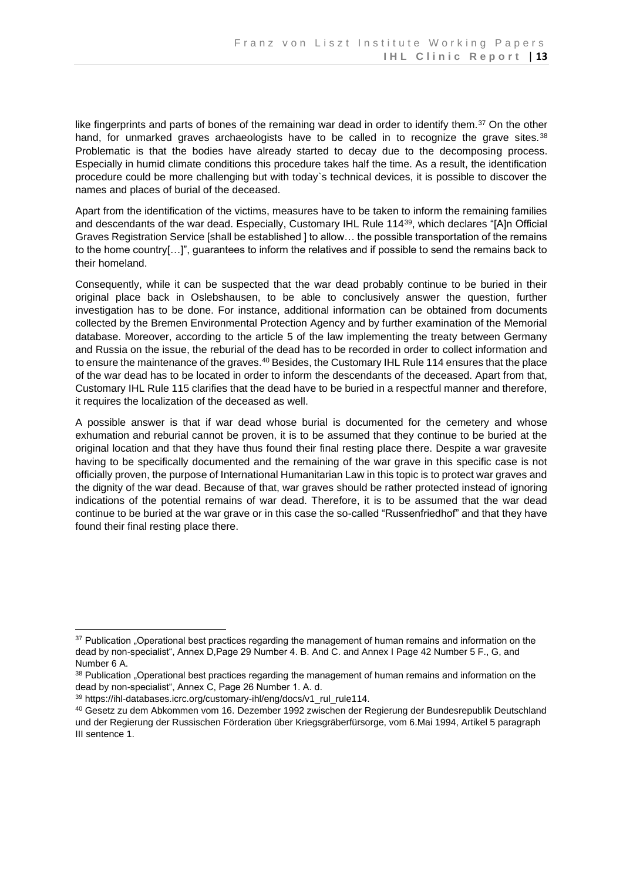like fingerprints and parts of bones of the remaining war dead in order to identify them.<sup>37</sup> On the other hand, for unmarked graves archaeologists have to be called in to recognize the grave sites.<sup>38</sup> Problematic is that the bodies have already started to decay due to the decomposing process. Especially in humid climate conditions this procedure takes half the time. As a result, the identification procedure could be more challenging but with today`s technical devices, it is possible to discover the names and places of burial of the deceased.

Apart from the identification of the victims, measures have to be taken to inform the remaining families and descendants of the war dead. Especially, Customary IHL Rule 114<sup>39</sup>, which declares "[A]n Official Graves Registration Service [shall be established ] to allow… the possible transportation of the remains to the home country[…]", guarantees to inform the relatives and if possible to send the remains back to their homeland.

Consequently, while it can be suspected that the war dead probably continue to be buried in their original place back in Oslebshausen, to be able to conclusively answer the question, further investigation has to be done. For instance, additional information can be obtained from documents collected by the Bremen Environmental Protection Agency and by further examination of the Memorial database. Moreover, according to the article 5 of the law implementing the treaty between Germany and Russia on the issue, the reburial of the dead has to be recorded in order to collect information and to ensure the maintenance of the graves.<sup>40</sup> Besides, the Customary IHL Rule 114 ensures that the place of the war dead has to be located in order to inform the descendants of the deceased. Apart from that, Customary IHL Rule 115 clarifies that the dead have to be buried in a respectful manner and therefore, it requires the localization of the deceased as well.

A possible answer is that if war dead whose burial is documented for the cemetery and whose exhumation and reburial cannot be proven, it is to be assumed that they continue to be buried at the original location and that they have thus found their final resting place there. Despite a war gravesite having to be specifically documented and the remaining of the war grave in this specific case is not officially proven, the purpose of International Humanitarian Law in this topic is to protect war graves and the dignity of the war dead. Because of that, war graves should be rather protected instead of ignoring indications of the potential remains of war dead. Therefore, it is to be assumed that the war dead continue to be buried at the war grave or in this case the so-called "Russenfriedhof" and that they have found their final resting place there.

<sup>&</sup>lt;sup>37</sup> Publication "Operational best practices regarding the management of human remains and information on the dead by non-specialist", Annex D,Page 29 Number 4. B. And C. and Annex I Page 42 Number 5 F., G, and Number 6 A.

<sup>&</sup>lt;sup>38</sup> Publication . Operational best practices regarding the management of human remains and information on the dead by non-specialist", Annex C, Page 26 Number 1. A. d.

<sup>&</sup>lt;sup>39</sup> https://ihl-databases.icrc.org/customary-ihl/eng/docs/v1\_rul\_rule114.

<sup>40</sup> Gesetz zu dem Abkommen vom 16. Dezember 1992 zwischen der Regierung der Bundesrepublik Deutschland und der Regierung der Russischen Förderation über Kriegsgräberfürsorge, vom 6.Mai 1994, Artikel 5 paragraph III sentence 1.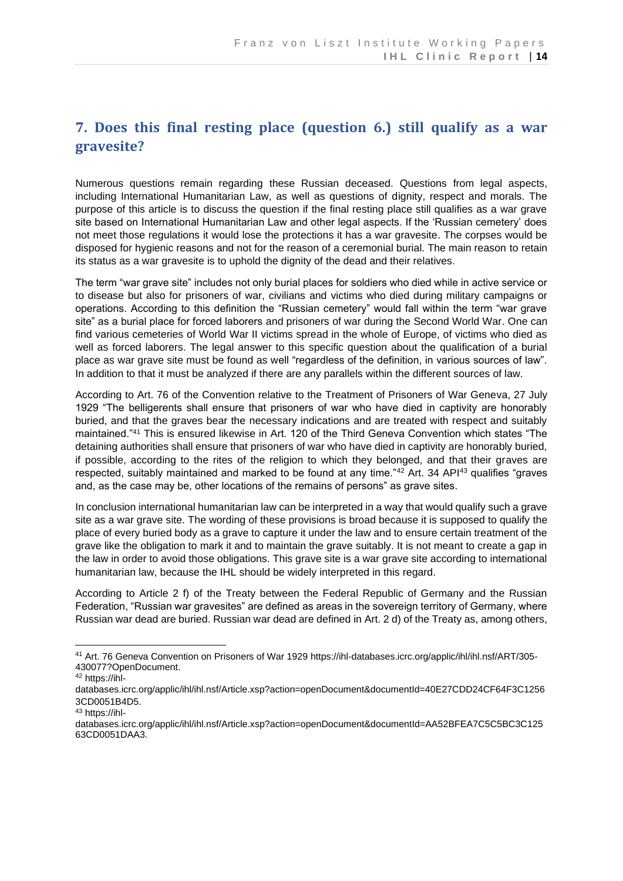# <span id="page-17-0"></span>**7. Does this final resting place (question 6.) still qualify as a war gravesite?**

Numerous questions remain regarding these Russian deceased. Questions from legal aspects, including International Humanitarian Law, as well as questions of dignity, respect and morals. The purpose of this article is to discuss the question if the final resting place still qualifies as a war grave site based on International Humanitarian Law and other legal aspects. If the 'Russian cemetery' does not meet those regulations it would lose the protections it has a war gravesite. The corpses would be disposed for hygienic reasons and not for the reason of a ceremonial burial. The main reason to retain its status as a war gravesite is to uphold the dignity of the dead and their relatives.

The term "war grave site" includes not only burial places for soldiers who died while in active service or to disease but also for prisoners of war, civilians and victims who died during military campaigns or operations. According to this definition the "Russian cemetery" would fall within the term "war grave site" as a burial place for forced laborers and prisoners of war during the Second World War. One can find various cemeteries of World War II victims spread in the whole of Europe, of victims who died as well as forced laborers. The legal answer to this specific question about the qualification of a burial place as war grave site must be found as well "regardless of the definition, in various sources of law". In addition to that it must be analyzed if there are any parallels within the different sources of law.

According to Art. 76 of the Convention relative to the Treatment of Prisoners of War Geneva, 27 July 1929 "The belligerents shall ensure that prisoners of war who have died in captivity are honorably buried, and that the graves bear the necessary indications and are treated with respect and suitably maintained."<sup>41</sup> This is ensured likewise in Art. 120 of the Third Geneva Convention which states "The detaining authorities shall ensure that prisoners of war who have died in captivity are honorably buried, if possible, according to the rites of the religion to which they belonged, and that their graves are respected, suitably maintained and marked to be found at any time."<sup>42</sup> Art. 34 API<sup>43</sup> qualifies "graves" and, as the case may be, other locations of the remains of persons" as grave sites.

In conclusion international humanitarian law can be interpreted in a way that would qualify such a grave site as a war grave site. The wording of these provisions is broad because it is supposed to qualify the place of every buried body as a grave to capture it under the law and to ensure certain treatment of the grave like the obligation to mark it and to maintain the grave suitably. It is not meant to create a gap in the law in order to avoid those obligations. This grave site is a war grave site according to international humanitarian law, because the IHL should be widely interpreted in this regard.

According to Article 2 f) of the Treaty between the Federal Republic of Germany and the Russian Federation, "Russian war gravesites" are defined as areas in the sovereign territory of Germany, where Russian war dead are buried. Russian war dead are defined in Art. 2 d) of the Treaty as, among others,

<sup>41</sup> [Art. 76 Geneva Convention on Prisoners of War 1929 https://ihl-databases.icrc.org/applic/ihl/ihl.nsf/ART/305-](/Users/professurmarauhn/Library/Containers/com.apple.mail/Data/Library/Mail%20Downloads/05F96538-5B3F-4556-BBE5-6F1F00DFFC6C/Art.%2076%20Geneva%20Convention%20on%20Prisoners%20of%20War%201929%20https:/ihl-databases.icrc.org/applic/ihl/ihl.nsf/ART/305-430077?OpenDocument.) [430077?OpenDocument.](/Users/professurmarauhn/Library/Containers/com.apple.mail/Data/Library/Mail%20Downloads/05F96538-5B3F-4556-BBE5-6F1F00DFFC6C/Art.%2076%20Geneva%20Convention%20on%20Prisoners%20of%20War%201929%20https:/ihl-databases.icrc.org/applic/ihl/ihl.nsf/ART/305-430077?OpenDocument.)

<sup>42</sup> https://ihl-

databases.icrc.org/applic/ihl/ihl.nsf/Article.xsp?action=openDocument&documentId=40E27CDD24CF64F3C1256 3CD0051B4D5.

<sup>43</sup> https://ihl-

databases.icrc.org/applic/ihl/ihl.nsf/Article.xsp?action=openDocument&documentId=AA52BFEA7C5C5BC3C125 63CD0051DAA3.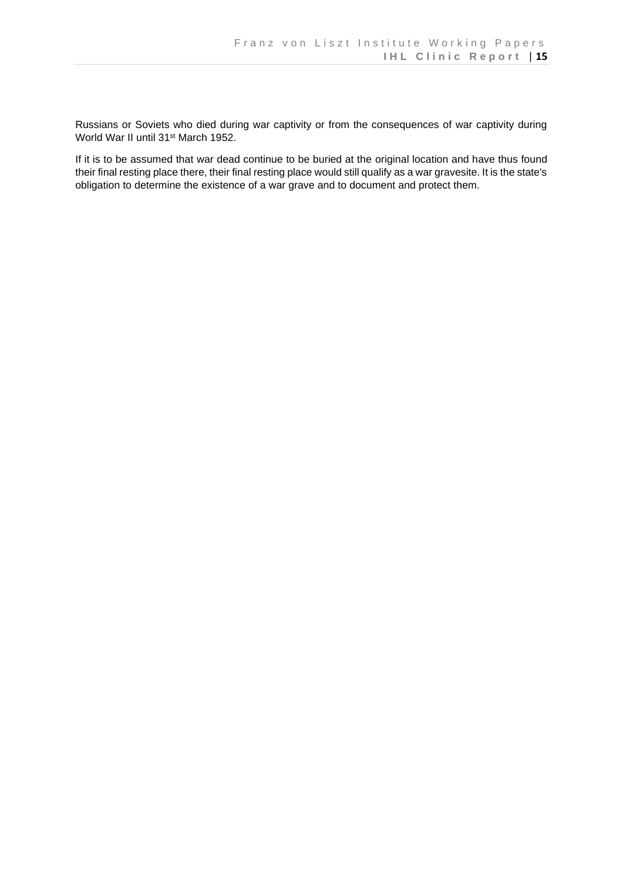Russians or Soviets who died during war captivity or from the consequences of war captivity during World War II until 31<sup>st</sup> March 1952.

If it is to be assumed that war dead continue to be buried at the original location and have thus found their final resting place there, their final resting place would still qualify as a war gravesite. It is the state's obligation to determine the existence of a war grave and to document and protect them.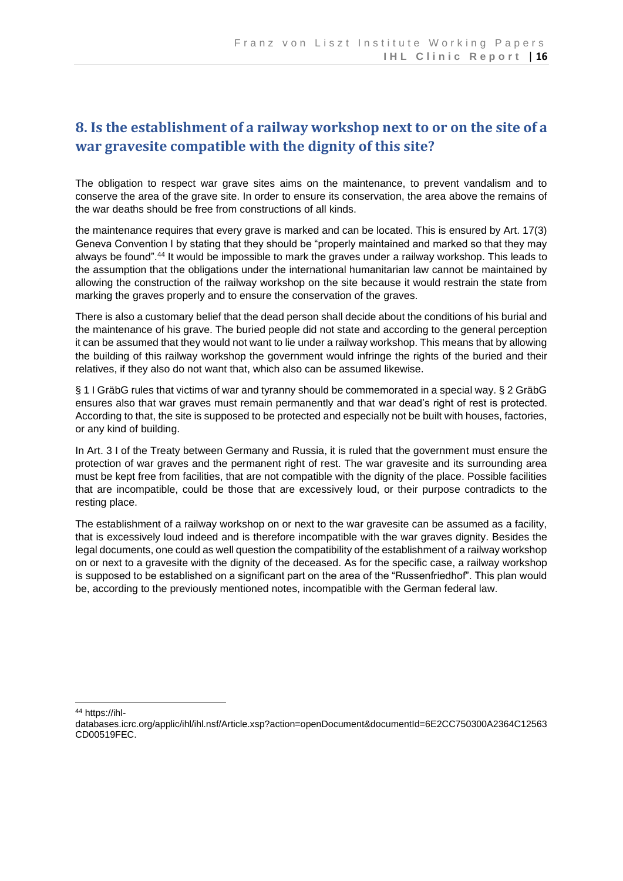## <span id="page-19-0"></span>**8. Is the establishment of a railway workshop next to or on the site of a war gravesite compatible with the dignity of this site?**

The obligation to respect war grave sites aims on the maintenance, to prevent vandalism and to conserve the area of the grave site. In order to ensure its conservation, the area above the remains of the war deaths should be free from constructions of all kinds.

the maintenance requires that every grave is marked and can be located. This is ensured by Art. 17(3) Geneva Convention I by stating that they should be "properly maintained and marked so that they may always be found".<sup>44</sup> It would be impossible to mark the graves under a railway workshop. This leads to the assumption that the obligations under the international humanitarian law cannot be maintained by allowing the construction of the railway workshop on the site because it would restrain the state from marking the graves properly and to ensure the conservation of the graves.

There is also a customary belief that the dead person shall decide about the conditions of his burial and the maintenance of his grave. The buried people did not state and according to the general perception it can be assumed that they would not want to lie under a railway workshop. This means that by allowing the building of this railway workshop the government would infringe the rights of the buried and their relatives, if they also do not want that, which also can be assumed likewise.

§ 1 I GräbG rules that victims of war and tyranny should be commemorated in a special way. § 2 GräbG ensures also that war graves must remain permanently and that war dead's right of rest is protected. According to that, the site is supposed to be protected and especially not be built with houses, factories, or any kind of building.

In Art. 3 I of the Treaty between Germany and Russia, it is ruled that the government must ensure the protection of war graves and the permanent right of rest. The war gravesite and its surrounding area must be kept free from facilities, that are not compatible with the dignity of the place. Possible facilities that are incompatible, could be those that are excessively loud, or their purpose contradicts to the resting place.

The establishment of a railway workshop on or next to the war gravesite can be assumed as a facility, that is excessively loud indeed and is therefore incompatible with the war graves dignity. Besides the legal documents, one could as well question the compatibility of the establishment of a railway workshop on or next to a gravesite with the dignity of the deceased. As for the specific case, a railway workshop is supposed to be established on a significant part on the area of the "Russenfriedhof". This plan would be, according to the previously mentioned notes, incompatible with the German federal law.

<sup>44</sup> [https://ihl-](https://ihl-databases.icrc.org/applic/ihl/ihl.nsf/Article.xsp?action=openDocument&documentId=6E2CC750300A2364C12563CD00519FEC.%20)

[databases.icrc.org/applic/ihl/ihl.nsf/Article.xsp?action=openDocument&documentId=6E2CC750300A2364C12563](https://ihl-databases.icrc.org/applic/ihl/ihl.nsf/Article.xsp?action=openDocument&documentId=6E2CC750300A2364C12563CD00519FEC.%20) [CD00519FEC.](https://ihl-databases.icrc.org/applic/ihl/ihl.nsf/Article.xsp?action=openDocument&documentId=6E2CC750300A2364C12563CD00519FEC.%20)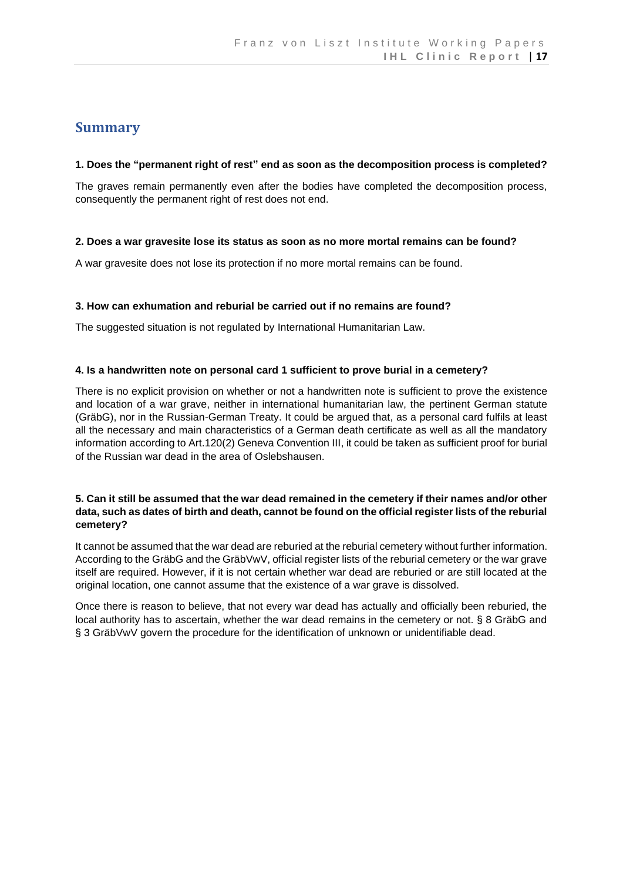### <span id="page-20-0"></span>**Summary**

#### **1. Does the "permanent right of rest" end as soon as the decomposition process is completed?**

The graves remain permanently even after the bodies have completed the decomposition process, consequently the permanent right of rest does not end.

#### **2. Does a war gravesite lose its status as soon as no more mortal remains can be found?**

A war gravesite does not lose its protection if no more mortal remains can be found.

#### **3. How can exhumation and reburial be carried out if no remains are found?**

The suggested situation is not regulated by International Humanitarian Law.

#### **4. Is a handwritten note on personal card 1 sufficient to prove burial in a cemetery?**

There is no explicit provision on whether or not a handwritten note is sufficient to prove the existence and location of a war grave, neither in international humanitarian law, the pertinent German statute (GräbG), nor in the Russian-German Treaty. It could be argued that, as a personal card fulfils at least all the necessary and main characteristics of a German death certificate as well as all the mandatory information according to Art.120(2) Geneva Convention III, it could be taken as sufficient proof for burial of the Russian war dead in the area of Oslebshausen.

#### **5. Can it still be assumed that the war dead remained in the cemetery if their names and/or other data, such as dates of birth and death, cannot be found on the official register lists of the reburial cemetery?**

It cannot be assumed that the war dead are reburied at the reburial cemetery without further information. According to the GräbG and the GräbVwV, official register lists of the reburial cemetery or the war grave itself are required. However, if it is not certain whether war dead are reburied or are still located at the original location, one cannot assume that the existence of a war grave is dissolved.

Once there is reason to believe, that not every war dead has actually and officially been reburied, the local authority has to ascertain, whether the war dead remains in the cemetery or not. § 8 GräbG and § 3 GräbVwV govern the procedure for the identification of unknown or unidentifiable dead.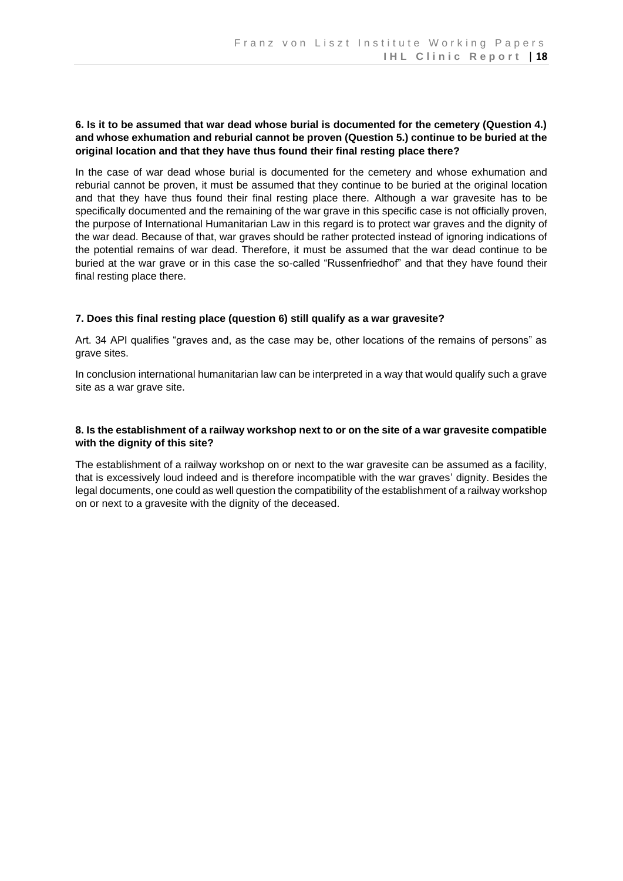#### **6. Is it to be assumed that war dead whose burial is documented for the cemetery (Question 4.) and whose exhumation and reburial cannot be proven (Question 5.) continue to be buried at the original location and that they have thus found their final resting place there?**

In the case of war dead whose burial is documented for the cemetery and whose exhumation and reburial cannot be proven, it must be assumed that they continue to be buried at the original location and that they have thus found their final resting place there. Although a war gravesite has to be specifically documented and the remaining of the war grave in this specific case is not officially proven, the purpose of International Humanitarian Law in this regard is to protect war graves and the dignity of the war dead. Because of that, war graves should be rather protected instead of ignoring indications of the potential remains of war dead. Therefore, it must be assumed that the war dead continue to be buried at the war grave or in this case the so-called "Russenfriedhof" and that they have found their final resting place there.

#### **7. Does this final resting place (question 6) still qualify as a war gravesite?**

Art. 34 API qualifies "graves and, as the case may be, other locations of the remains of persons" as grave sites.

In conclusion international humanitarian law can be interpreted in a way that would qualify such a grave site as a war grave site.

#### **8. Is the establishment of a railway workshop next to or on the site of a war gravesite compatible with the dignity of this site?**

The establishment of a railway workshop on or next to the war gravesite can be assumed as a facility, that is excessively loud indeed and is therefore incompatible with the war graves' dignity. Besides the legal documents, one could as well question the compatibility of the establishment of a railway workshop on or next to a gravesite with the dignity of the deceased.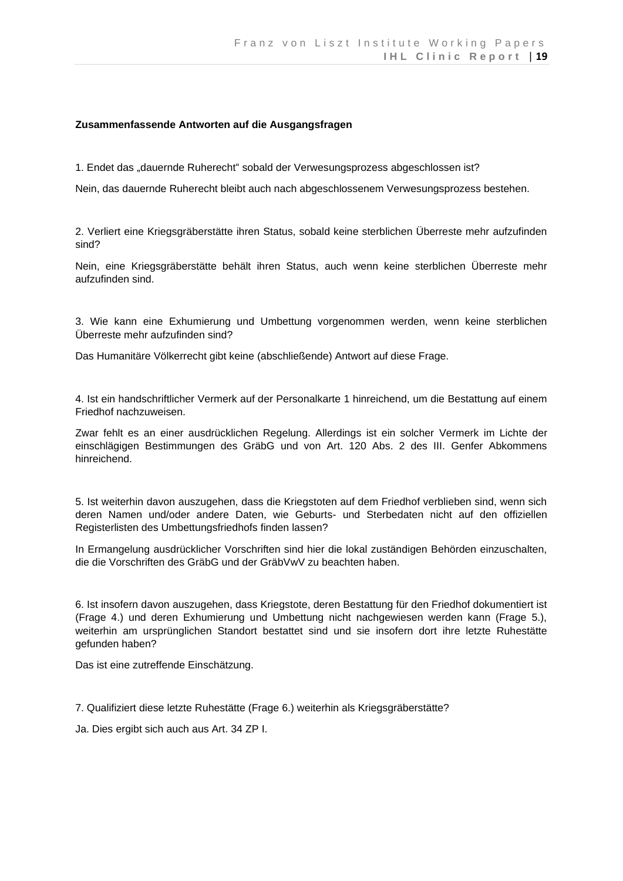#### **Zusammenfassende Antworten auf die Ausgangsfragen**

1. Endet das "dauernde Ruherecht" sobald der Verwesungsprozess abgeschlossen ist?

Nein, das dauernde Ruherecht bleibt auch nach abgeschlossenem Verwesungsprozess bestehen.

2. Verliert eine Kriegsgräberstätte ihren Status, sobald keine sterblichen Überreste mehr aufzufinden sind?

Nein, eine Kriegsgräberstätte behält ihren Status, auch wenn keine sterblichen Überreste mehr aufzufinden sind.

3. Wie kann eine Exhumierung und Umbettung vorgenommen werden, wenn keine sterblichen Überreste mehr aufzufinden sind?

Das Humanitäre Völkerrecht gibt keine (abschließende) Antwort auf diese Frage.

4. Ist ein handschriftlicher Vermerk auf der Personalkarte 1 hinreichend, um die Bestattung auf einem Friedhof nachzuweisen.

Zwar fehlt es an einer ausdrücklichen Regelung. Allerdings ist ein solcher Vermerk im Lichte der einschlägigen Bestimmungen des GräbG und von Art. 120 Abs. 2 des III. Genfer Abkommens hinreichend.

5. Ist weiterhin davon auszugehen, dass die Kriegstoten auf dem Friedhof verblieben sind, wenn sich deren Namen und/oder andere Daten, wie Geburts- und Sterbedaten nicht auf den offiziellen Registerlisten des Umbettungsfriedhofs finden lassen?

In Ermangelung ausdrücklicher Vorschriften sind hier die lokal zuständigen Behörden einzuschalten, die die Vorschriften des GräbG und der GräbVwV zu beachten haben.

6. Ist insofern davon auszugehen, dass Kriegstote, deren Bestattung für den Friedhof dokumentiert ist (Frage 4.) und deren Exhumierung und Umbettung nicht nachgewiesen werden kann (Frage 5.), weiterhin am ursprünglichen Standort bestattet sind und sie insofern dort ihre letzte Ruhestätte gefunden haben?

Das ist eine zutreffende Einschätzung.

7. Qualifiziert diese letzte Ruhestätte (Frage 6.) weiterhin als Kriegsgräberstätte?

Ja. Dies ergibt sich auch aus Art. 34 ZP I.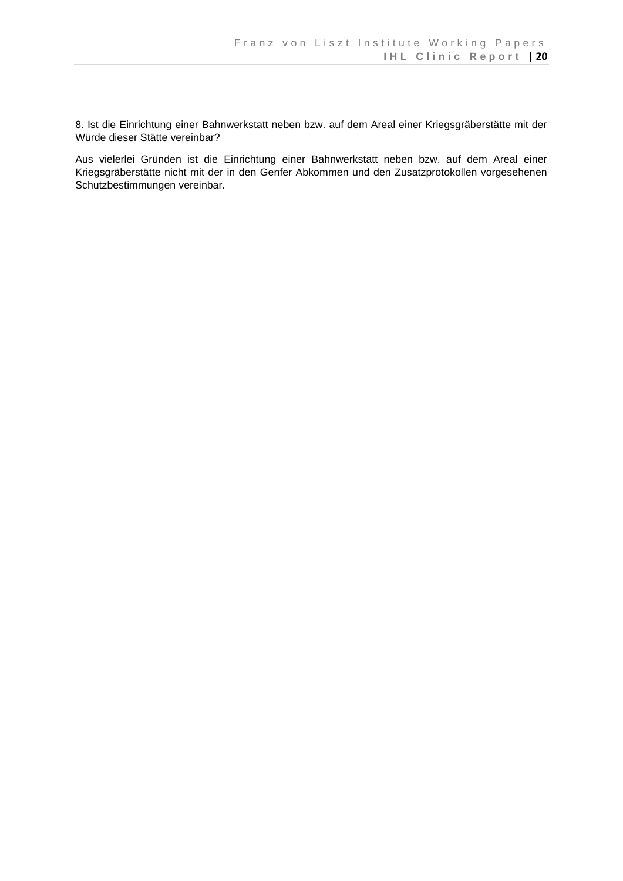8. Ist die Einrichtung einer Bahnwerkstatt neben bzw. auf dem Areal einer Kriegsgräberstätte mit der Würde dieser Stätte vereinbar?

Aus vielerlei Gründen ist die Einrichtung einer Bahnwerkstatt neben bzw. auf dem Areal einer Kriegsgräberstätte nicht mit der in den Genfer Abkommen und den Zusatzprotokollen vorgesehenen Schutzbestimmungen vereinbar.